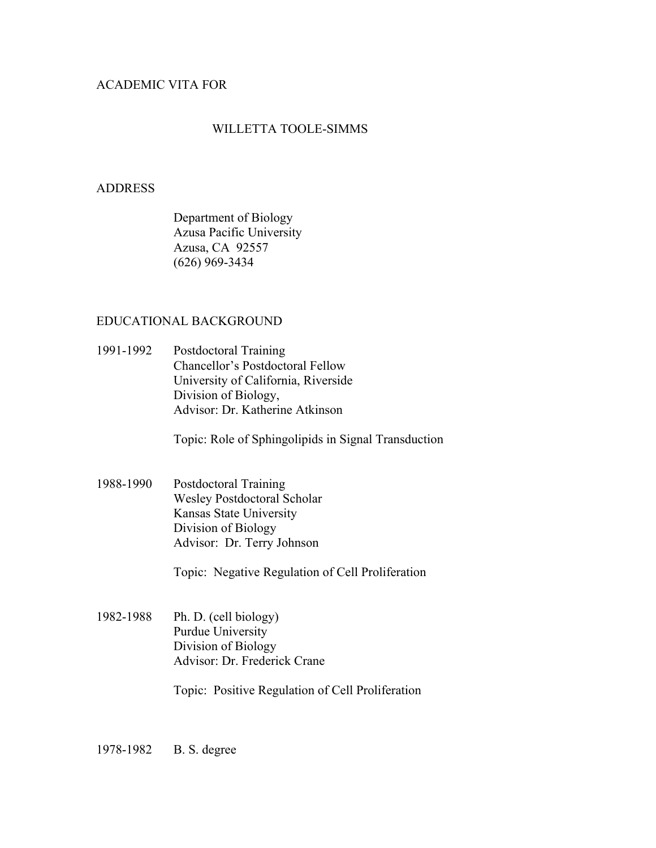# ACADEMIC VITA FOR

# WILLETTA TOOLE-SIMMS

## ADDRESS

Department of Biology Azusa Pacific University Azusa, CA 92557 (626) 969-3434

# EDUCATIONAL BACKGROUND

1991-1992 Postdoctoral Training Chancellor's Postdoctoral Fellow University of California, Riverside Division of Biology, Advisor: Dr. Katherine Atkinson

Topic: Role of Sphingolipids in Signal Transduction

1988-1990 Postdoctoral Training Wesley Postdoctoral Scholar Kansas State University Division of Biology Advisor: Dr. Terry Johnson

Topic: Negative Regulation of Cell Proliferation

1982-1988 Ph. D. (cell biology) Purdue University Division of Biology Advisor: Dr. Frederick Crane

Topic: Positive Regulation of Cell Proliferation

1978-1982 B. S. degree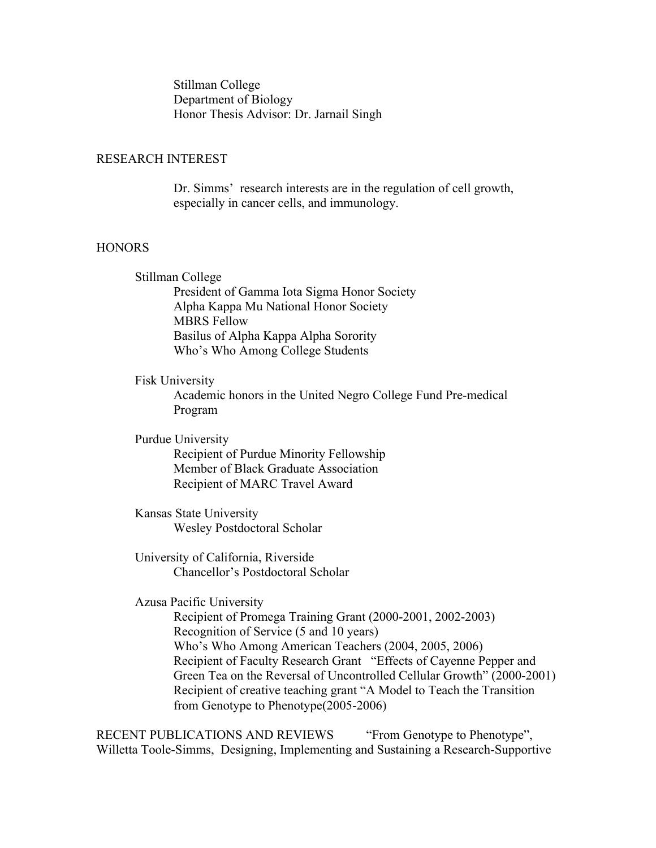Stillman College Department of Biology Honor Thesis Advisor: Dr. Jarnail Singh

## RESEARCH INTEREST

Dr. Simms' research interests are in the regulation of cell growth, especially in cancer cells, and immunology.

# HONORS

Stillman College President of Gamma Iota Sigma Honor Society Alpha Kappa Mu National Honor Society MBRS Fellow Basilus of Alpha Kappa Alpha Sorority Who's Who Among College Students

#### Fisk University

Academic honors in the United Negro College Fund Pre-medical Program

Purdue University Recipient of Purdue Minority Fellowship Member of Black Graduate Association Recipient of MARC Travel Award

Kansas State University Wesley Postdoctoral Scholar

University of California, Riverside Chancellor's Postdoctoral Scholar

Azusa Pacific University

Recipient of Promega Training Grant (2000-2001, 2002-2003) Recognition of Service (5 and 10 years) Who's Who Among American Teachers (2004, 2005, 2006) Recipient of Faculty Research Grant "Effects of Cayenne Pepper and Green Tea on the Reversal of Uncontrolled Cellular Growth" (2000-2001) Recipient of creative teaching grant "A Model to Teach the Transition from Genotype to Phenotype(2005-2006)

RECENT PUBLICATIONS AND REVIEWS "From Genotype to Phenotype", Willetta Toole-Simms, Designing, Implementing and Sustaining a Research-Supportive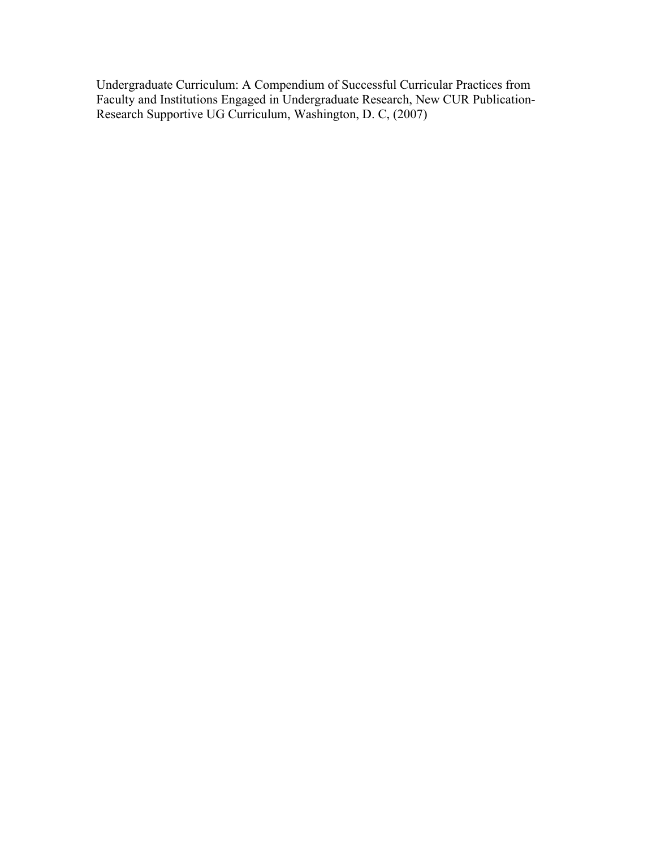Undergraduate Curriculum: A Compendium of Successful Curricular Practices from Faculty and Institutions Engaged in Undergraduate Research, New CUR Publication-Research Supportive UG Curriculum, Washington, D. C, (2007)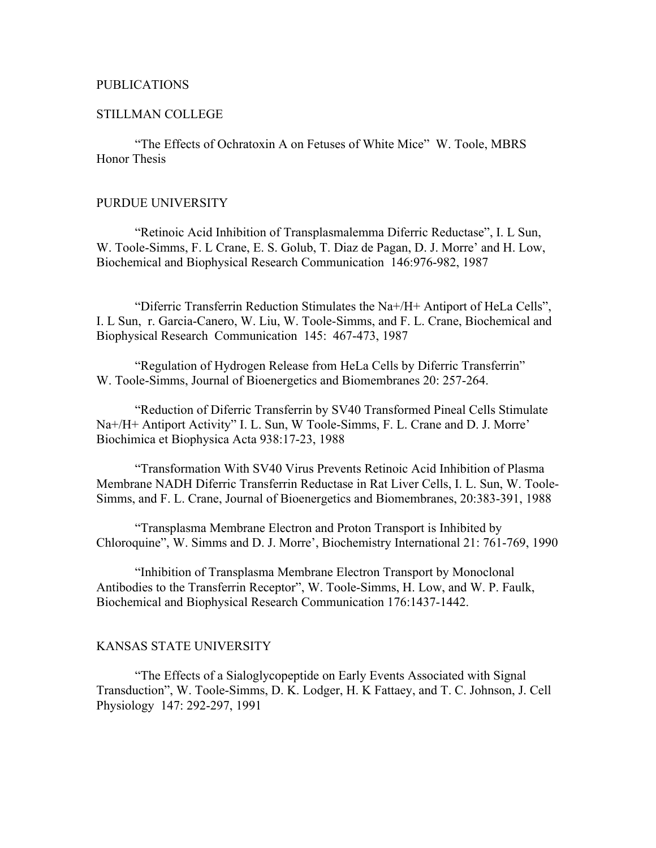## PUBLICATIONS

## STILLMAN COLLEGE

"The Effects of Ochratoxin A on Fetuses of White Mice" W. Toole, MBRS Honor Thesis

### PURDUE UNIVERSITY

"Retinoic Acid Inhibition of Transplasmalemma Diferric Reductase", I. L Sun, W. Toole-Simms, F. L Crane, E. S. Golub, T. Diaz de Pagan, D. J. Morre' and H. Low, Biochemical and Biophysical Research Communication 146:976-982, 1987

"Diferric Transferrin Reduction Stimulates the Na+/H+ Antiport of HeLa Cells", I. L Sun, r. Garcia-Canero, W. Liu, W. Toole-Simms, and F. L. Crane, Biochemical and Biophysical Research Communication 145: 467-473, 1987

"Regulation of Hydrogen Release from HeLa Cells by Diferric Transferrin" W. Toole-Simms, Journal of Bioenergetics and Biomembranes 20: 257-264.

"Reduction of Diferric Transferrin by SV40 Transformed Pineal Cells Stimulate Na+/H+ Antiport Activity" I. L. Sun, W Toole-Simms, F. L. Crane and D. J. Morre' Biochimica et Biophysica Acta 938:17-23, 1988

"Transformation With SV40 Virus Prevents Retinoic Acid Inhibition of Plasma Membrane NADH Diferric Transferrin Reductase in Rat Liver Cells, I. L. Sun, W. Toole-Simms, and F. L. Crane, Journal of Bioenergetics and Biomembranes, 20:383-391, 1988

"Transplasma Membrane Electron and Proton Transport is Inhibited by Chloroquine", W. Simms and D. J. Morre', Biochemistry International 21: 761-769, 1990

"Inhibition of Transplasma Membrane Electron Transport by Monoclonal Antibodies to the Transferrin Receptor", W. Toole-Simms, H. Low, and W. P. Faulk, Biochemical and Biophysical Research Communication 176:1437-1442.

## KANSAS STATE UNIVERSITY

"The Effects of a Sialoglycopeptide on Early Events Associated with Signal Transduction", W. Toole-Simms, D. K. Lodger, H. K Fattaey, and T. C. Johnson, J. Cell Physiology 147: 292-297, 1991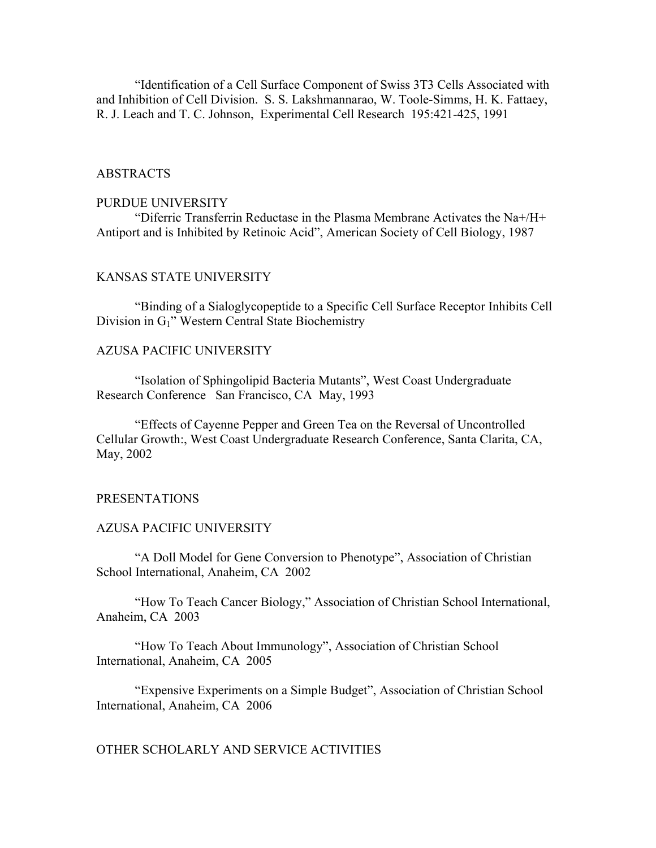"Identification of a Cell Surface Component of Swiss 3T3 Cells Associated with and Inhibition of Cell Division. S. S. Lakshmannarao, W. Toole-Simms, H. K. Fattaey, R. J. Leach and T. C. Johnson, Experimental Cell Research 195:421-425, 1991

# ABSTRACTS

#### PURDUE UNIVERSITY

"Diferric Transferrin Reductase in the Plasma Membrane Activates the Na+/H+ Antiport and is Inhibited by Retinoic Acid", American Society of Cell Biology, 1987

# KANSAS STATE UNIVERSITY

"Binding of a Sialoglycopeptide to a Specific Cell Surface Receptor Inhibits Cell Division in G1" Western Central State Biochemistry

### AZUSA PACIFIC UNIVERSITY

"Isolation of Sphingolipid Bacteria Mutants", West Coast Undergraduate Research Conference San Francisco, CA May, 1993

"Effects of Cayenne Pepper and Green Tea on the Reversal of Uncontrolled Cellular Growth:, West Coast Undergraduate Research Conference, Santa Clarita, CA, May, 2002

#### PRESENTATIONS

#### AZUSA PACIFIC UNIVERSITY

"A Doll Model for Gene Conversion to Phenotype", Association of Christian School International, Anaheim, CA 2002

"How To Teach Cancer Biology," Association of Christian School International, Anaheim, CA 2003

"How To Teach About Immunology", Association of Christian School International, Anaheim, CA 2005

"Expensive Experiments on a Simple Budget", Association of Christian School International, Anaheim, CA 2006

### OTHER SCHOLARLY AND SERVICE ACTIVITIES